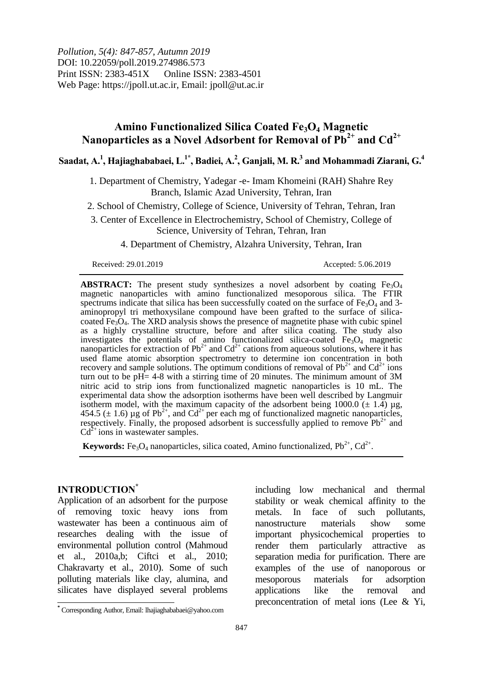*Pollution, 5(4): 847-857, Autumn 2019* DOI: 10.22059/poll.2019.274986.573 Print ISSN: 2383-451X Online ISSN: 2383-4501 Web Page: https://jpoll.ut.ac.ir, Email: jpoll@ut.ac.ir

# **Amino Functionalized Silica Coated Fe3O<sup>4</sup> Magnetic Nanoparticles as a Novel Adsorbent for Removal of Pb2+ and Cd2+**

 $\boldsymbol{\mathrm{S}}$ aadat, A. <sup>1</sup>, Hajiaghababaei, L.  $^{1*}$ , Badiei, A.  $^{2}$ , Ganjali, M. R.  $^{3}$  and Mohammadi Ziarani, G.  $^{4}$ 

1. Department of Chemistry, Yadegar -e- Imam Khomeini (RAH) Shahre Rey Branch, Islamic Azad University, Tehran, Iran

2. School of Chemistry, College of Science, University of Tehran, Tehran, Iran

3. Center of Excellence in Electrochemistry, School of Chemistry, College of Science, University of Tehran, Tehran, Iran

4. Department of Chemistry, Alzahra University, Tehran, Iran

Received: 29.01.2019 Accepted: 5.06.2019

**ABSTRACT:** The present study synthesizes a novel adsorbent by coating  $Fe<sub>3</sub>O<sub>4</sub>$ magnetic nanoparticles with amino functionalized mesoporous silica. The FTIR spectrums indicate that silica has been successfully coated on the surface of  $Fe<sub>3</sub>O<sub>4</sub>$  and 3aminopropyl tri methoxysilane compound have been grafted to the surface of silicacoated  $Fe<sub>3</sub>O<sub>4</sub>$ . The XRD analysis shows the presence of magnetite phase with cubic spinel as a highly crystalline structure, before and after silica coating. The study also investigates the potentials of amino functionalized silica-coated Fe<sub>3</sub>O<sub>4</sub> magnetic nanoparticles for extraction of  $Pb^{2+}$  and  $Cd^{2+}$  cations from aqueous solutions, where it has used flame atomic absorption spectrometry to determine ion concentration in both recovery and sample solutions. The optimum conditions of removal of  $Pb^{2+}$  and  $Cd^{2+}$  ions turn out to be  $pH = 4-8$  with a stirring time of 20 minutes. The minimum amount of 3M nitric acid to strip ions from functionalized magnetic nanoparticles is 10 mL. The experimental data show the adsorption isotherms have been well described by Langmuir isotherm model, with the maximum capacity of the adsorbent being  $1000.0$  ( $\pm$  1.4) µg, 454.5 ( $\pm$  1.6) µg of Pb<sup>2+</sup>, and Cd<sup>2+</sup> per each mg of functionalized magnetic nanoparticles, respectively. Finally, the proposed adsorbent is successfully applied to remove  $Pb^{2+}$  and  $Cd^{2+}$  ions in wastewater samples.

**Keywords:** Fe<sub>3</sub>O<sub>4</sub> nanoparticles, silica coated, Amino functionalized,  $Pb^{2+}$ ,  $Cd^{2+}$ .

### **INTRODUCTION\***

 $\overline{\phantom{a}}$ 

Application of an adsorbent for the purpose of removing toxic heavy ions from wastewater has been a continuous aim of researches dealing with the issue of environmental pollution control (Mahmoud et al., 2010a,b; Ciftci et al., 2010; Chakravarty et al., 2010). Some of such polluting materials like clay, alumina, and silicates have displayed several problems

including low mechanical and thermal stability or weak chemical affinity to the metals. In face of such pollutants, nanostructure materials show some important physicochemical properties to render them particularly attractive as separation media for purification. There are examples of the use of nanoporous or mesoporous materials for adsorption applications like the removal and preconcentration of metal ions (Lee & Yi,

**<sup>\*</sup>** Corresponding Author, Email: lhajiaghababaei@yahoo.com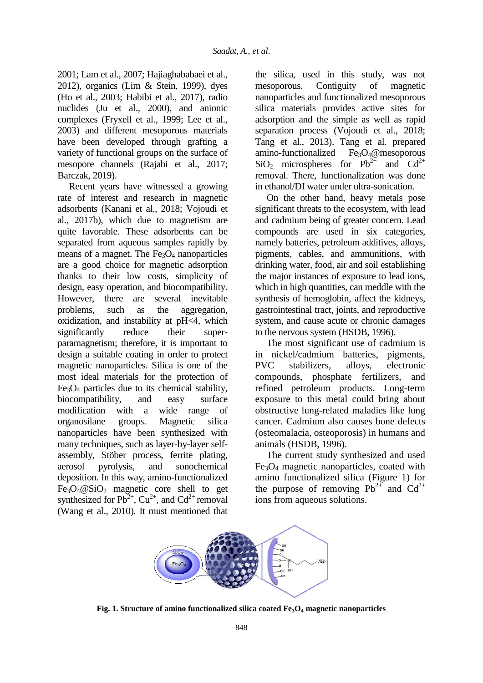2001; Lam et al., 2007; Hajiaghababaei et al., 2012), organics (Lim & Stein, 1999), dyes (Ho et al., 2003; Habibi et al., 2017), radio nuclides (Ju et al., 2000), and anionic complexes (Fryxell et al., 1999; Lee et al., 2003) and different mesoporous materials have been developed through grafting a variety of functional groups on the surface of mesopore channels (Rajabi et al., 2017; Barczak, 2019).

Recent years have witnessed a growing rate of interest and research in magnetic adsorbents (Kanani et al., 2018; Vojoudi et al., 2017b), which due to magnetism are quite favorable. These adsorbents can be separated from aqueous samples rapidly by means of a magnet. The  $Fe<sub>3</sub>O<sub>4</sub>$  nanoparticles are a good choice for magnetic adsorption thanks to their low costs, simplicity of design, easy operation, and biocompatibility. However, there are several inevitable problems, such as the aggregation, oxidization, and instability at pH<4, which significantly reduce their superparamagnetism; therefore, it is important to design a suitable coating in order to protect magnetic nanoparticles. Silica is one of the most ideal materials for the protection of  $Fe<sub>3</sub>O<sub>4</sub>$  particles due to its chemical stability, biocompatibility, and easy surface modification with a wide range of organosilane groups. Magnetic silica nanoparticles have been synthesized with many techniques, such as layer-by-layer selfassembly, Stöber process, ferrite plating, aerosol pyrolysis, and sonochemical deposition. In this way, amino-functionalized  $Fe<sub>3</sub>O<sub>4</sub> @SiO<sub>2</sub> magnetic core shell to get$ synthesized for  $Pb^{2+}$ ,  $Cu^{2+}$ , and  $Cd^{2+}$  removal (Wang et al., 2010). It must mentioned that

the silica, used in this study, was not mesoporous. Contiguity of magnetic nanoparticles and functionalized mesoporous silica materials provides active sites for adsorption and the simple as well as rapid separation process (Vojoudi et al., 2018; Tang et al., 2013). Tang et al. prepared amino-functionalized  $Fe<sub>3</sub>O<sub>4</sub>$ @mesoporous  $SiO<sub>2</sub>$  microspheres for Pb<sup>2+</sup> and Cd<sup>2+</sup> removal. There, functionalization was done in ethanol/DI water under ultra-sonication.

On the other hand, heavy metals pose significant threats to the ecosystem, with lead and cadmium being of greater concern. Lead compounds are used in six categories, namely batteries, petroleum additives, alloys, pigments, cables, and ammunitions, with drinking water, food, air and soil establishing the major instances of exposure to lead ions, which in high quantities, can meddle with the synthesis of hemoglobin, affect the kidneys, gastrointestinal tract, joints, and reproductive system, and cause acute or chronic damages to the nervous system (HSDB, 1996).

The most significant use of cadmium is in nickel/cadmium batteries, pigments, PVC stabilizers, alloys, electronic compounds, phosphate fertilizers, and refined petroleum products. Long-term exposure to this metal could bring about obstructive lung-related maladies like lung cancer. Cadmium also causes bone defects (osteomalacia, osteoporosis) in humans and animals (HSDB, 1996).

The current study synthesized and used  $Fe<sub>3</sub>O<sub>4</sub>$  magnetic nanoparticles, coated with amino functionalized silica (Figure 1) for the purpose of removing  $Pb^{2+}$  and  $Cd^{2+}$ ions from aqueous solutions.



**Fig. 1. Structure of amino functionalized silica coated**  $Fe<sub>3</sub>O<sub>4</sub>$  **magnetic nanoparticles**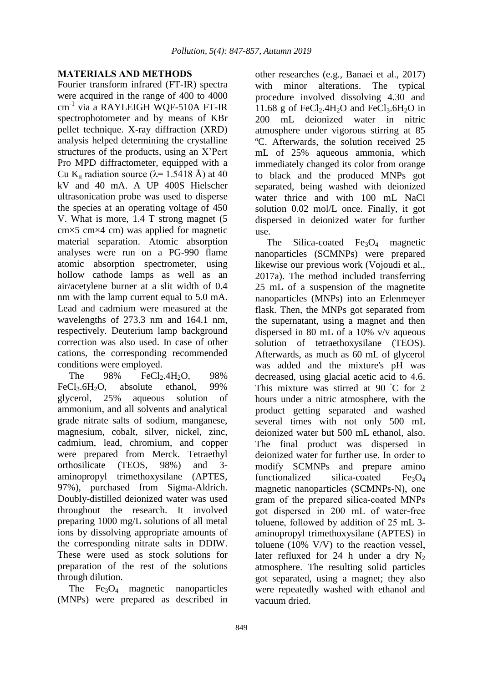## **MATERIALS AND METHODS**

Fourier transform infrared (FT-IR) spectra were acquired in the range of 400 to 4000 cm-1 via a RAYLEIGH WQF-510A FT-IR spectrophotometer and by means of KBr pellet technique. X-ray diffraction (XRD) analysis helped determining the crystalline structures of the products, using an X'Pert Pro MPD diffractometer, equipped with a Cu K<sub>a</sub> radiation source ( $\lambda$ = 1.5418 Å) at 40 kV and 40 mA. A UP 400S Hielscher ultrasonication probe was used to disperse the species at an operating voltage of 450 V. What is more, 1.4 T strong magnet (5 cm×5 cm×4 cm) was applied for magnetic material separation. Atomic absorption analyses were run on a PG-990 flame atomic absorption spectrometer, using hollow cathode lamps as well as an air/acetylene burner at a slit width of 0.4 nm with the lamp current equal to 5.0 mA. Lead and cadmium were measured at the wavelengths of 273.3 nm and 164.1 nm, respectively. Deuterium lamp background correction was also used. In case of other cations, the corresponding recommended conditions were employed.

The  $98\%$  FeCl<sub>2</sub>.4H<sub>2</sub>O,  $98\%$ FeCl<sub>3</sub>.6H<sub>2</sub>O, absolute ethanol,  $99\%$ glycerol, 25% aqueous solution of ammonium, and all solvents and analytical grade nitrate salts of sodium, manganese, magnesium, cobalt, silver, nickel, zinc, cadmium, lead, chromium, and copper were prepared from Merck. Tetraethyl orthosilicate (TEOS, 98%) and 3 aminopropyl trimethoxysilane (APTES, 97%), purchased from Sigma-Aldrich. Doubly-distilled deionized water was used throughout the research. It involved preparing 1000 mg/L solutions of all metal ions by dissolving appropriate amounts of the corresponding nitrate salts in DDIW. These were used as stock solutions for preparation of the rest of the solutions through dilution.

The  $Fe<sub>3</sub>O<sub>4</sub>$  magnetic nanoparticles (MNPs) were prepared as described in other researches (e.g., Banaei et al., 2017)<br>with minor alterations. The typical with minor alterations. procedure involved dissolving 4.30 and 11.68 g of  $FeCl<sub>2</sub>$ .4H<sub>2</sub>O and  $FeCl<sub>3</sub>$ .6H<sub>2</sub>O in 200 mL deionized water in nitric atmosphere under vigorous stirring at 85 ºC. Afterwards, the solution received 25 mL of 25% aqueous ammonia, which immediately changed its color from orange to black and the produced MNPs got separated, being washed with deionized water thrice and with 100 mL NaCl solution 0.02 mol/L once. Finally, it got dispersed in deionized water for further use.

The Silica-coated  $Fe<sub>3</sub>O<sub>4</sub>$  magnetic nanoparticles (SCMNPs) were prepared likewise our previous work (Vojoudi et al., 2017a). The method included transferring 25 mL of a suspension of the magnetite nanoparticles (MNPs) into an Erlenmeyer flask. Then, the MNPs got separated from the supernatant, using a magnet and then dispersed in 80 mL of a 10% v/v aqueous solution of tetraethoxysilane (TEOS). Afterwards, as much as 60 mL of glycerol was added and the mixture's pH was decreased, using glacial acetic acid to 4.6. This mixture was stirred at 90 °C for 2 hours under a nitric atmosphere, with the product getting separated and washed several times with not only 500 mL deionized water but 500 mL ethanol, also. The final product was dispersed in deionized water for further use. In order to modify SCMNPs and prepare amino functionalized silica-coated  $Fe<sub>3</sub>O<sub>4</sub>$ magnetic nanoparticles (SCMNPs-N), one gram of the prepared silica-coated MNPs got dispersed in 200 mL of water-free toluene, followed by addition of 25 mL 3 aminopropyl trimethoxysilane (APTES) in toluene (10% V/V) to the reaction vessel, later refluxed for 24 h under a dry  $N_2$ atmosphere. The resulting solid particles got separated, using a magnet; they also were repeatedly washed with ethanol and vacuum dried.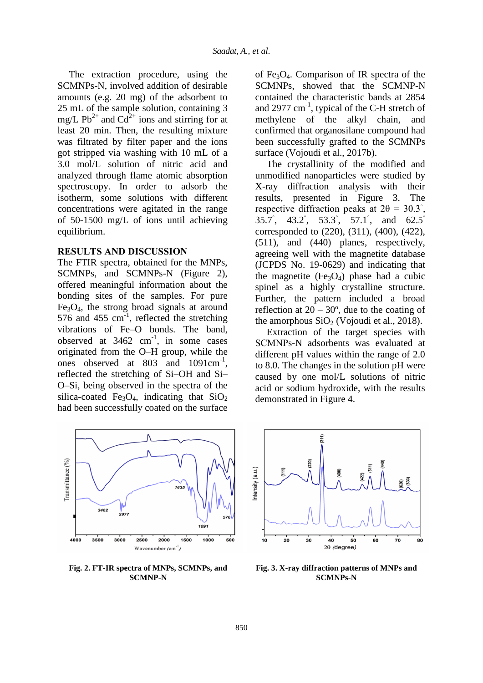The extraction procedure, using the SCMNPs-N, involved addition of desirable amounts (e.g. 20 mg) of the adsorbent to 25 mL of the sample solution, containing 3 mg/L Pb<sup>2+</sup> and Cd<sup>2+</sup> ions and stirring for at least 20 min. Then, the resulting mixture was filtrated by filter paper and the ions got stripped via washing with 10 mL of a 3.0 mol/L solution of nitric acid and analyzed through flame atomic absorption spectroscopy. In order to adsorb the isotherm, some solutions with different concentrations were agitated in the range of 50-1500 mg/L of ions until achieving equilibrium.

#### **RESULTS AND DISCUSSION**

The FTIR spectra, obtained for the MNPs, SCMNPs, and SCMNPs-N (Figure 2), offered meaningful information about the bonding sites of the samples. For pure  $Fe<sub>3</sub>O<sub>4</sub>$ , the strong broad signals at around 576 and 455  $\text{cm}^{-1}$ , reflected the stretching vibrations of Fe–O bonds. The band, observed at  $3462 \text{ cm}^{-1}$ , in some cases originated from the O–H group, while the ones observed at 803 and 1091cm<sup>-1</sup>, reflected the stretching of Si–OH and Si– O–Si, being observed in the spectra of the silica-coated Fe<sub>3</sub>O<sub>4</sub>, indicating that  $SiO<sub>2</sub>$ had been successfully coated on the surface



**Fig. 2. FT-IR spectra of MNPs, SCMNPs, and SCMNP-N**

of Fe<sub>3</sub>O<sub>4</sub>. Comparison of IR spectra of the SCMNPs, showed that the SCMNP-N contained the characteristic bands at 2854 and 2977  $cm^{-1}$ , typical of the C-H stretch of methylene of the alkyl chain, and confirmed that organosilane compound had been successfully grafted to the SCMNPs surface (Vojoudi et al., 2017b).

The crystallinity of the modified and unmodified nanoparticles were studied by X-ray diffraction analysis with their results, presented in Figure 3. The respective diffraction peaks at  $2\theta = 30.3°$ , 35.7<sup>°</sup>, 43.2<sup>°</sup>, 53.3<sup>°</sup>, 57.1<sup>°</sup>, and 62.5<sup>°</sup> corresponded to (220), (311), (400), (422), (511), and (440) planes, respectively, agreeing well with the magnetite database (JCPDS No. 19-0629) and indicating that the magnetite  $(Fe<sub>3</sub>O<sub>4</sub>)$  phase had a cubic spinel as a highly crystalline structure. Further, the pattern included a broad reflection at  $20 - 30^{\circ}$ , due to the coating of the amorphous  $SiO<sub>2</sub>$  (Vojoudi et al., 2018).

Extraction of the target species with SCMNPs-N adsorbents was evaluated at different pH values within the range of 2.0 to 8.0. The changes in the solution pH were caused by one mol/L solutions of nitric acid or sodium hydroxide, with the results demonstrated in Figure 4.



**Fig. 3. X-ray diffraction patterns of MNPs and SCMNPs-N**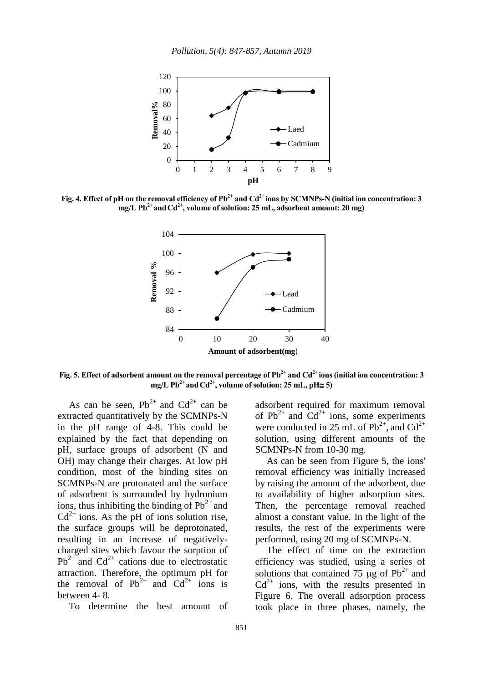

**Fig. 4. Effect of pH on the removal efficiency of Pb2+ and Cd2+ ions by SCMNPs-N (initial ion concentration: 3 mg/L Pb2+ andCd2+, volume of solution: 25 mL, adsorbent amount: 20 mg)**



**Fig. 5. Effect of adsorbent amount on the removal percentage of Pb2+ and Cd2+ ions (initial ion concentration: 3**   $mg/L$  Pb<sup>2+</sup> and Cd<sup>2+</sup>, volume of solution: 25 mL, pH $\cong$  5)

As can be seen,  $Pb^{2+}$  and  $Cd^{2+}$  can be extracted quantitatively by the SCMNPs-N in the pH range of 4-8. This could be explained by the fact that depending on pH, surface groups of adsorbent (N and OH) may change their charges. At low pH condition, most of the binding sites on SCMNPs-N are protonated and the surface of adsorbent is surrounded by hydronium ions, thus inhibiting the binding of  $Pb^{2+}$  and  $Cd^{2+}$  ions. As the pH of ions solution rise, the surface groups will be deprotonated, resulting in an increase of negativelycharged sites which favour the sorption of  $Pb^{2+}$  and  $Cd^{2+}$  cations due to electrostatic attraction. Therefore, the optimum pH for the removal of  $Pb^{2+}$  and  $Cd^{2+}$  ions is between 4- 8.

To determine the best amount of

adsorbent required for maximum removal of  $Pb^{2+}$  and  $Cd^{2+}$  ions, some experiments were conducted in 25 mL of  $Pb^{2+}$ , and  $Cd^{2+}$ solution, using different amounts of the SCMNPs-N from 10-30 mg.

As can be seen from Figure 5, the ions' removal efficiency was initially increased by raising the amount of the adsorbent, due to availability of higher adsorption sites. Then, the percentage removal reached almost a constant value. In the light of the results, the rest of the experiments were performed, using 20 mg of SCMNPs-N.

The effect of time on the extraction efficiency was studied, using a series of solutions that contained 75  $\mu$ g of Pb<sup>2+</sup> and  $Cd^{2+}$  ions, with the results presented in Figure 6. The overall adsorption process took place in three phases, namely, the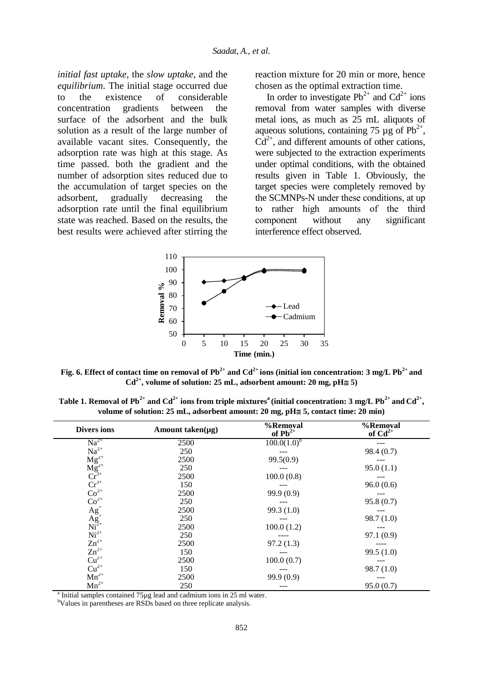*initial fast uptake*, the *slow uptake*, and the *equilibrium*. The initial stage occurred due to the existence of considerable concentration gradients between the surface of the adsorbent and the bulk solution as a result of the large number of available vacant sites. Consequently, the adsorption rate was high at this stage. As time passed. both the gradient and the number of adsorption sites reduced due to the accumulation of target species on the adsorbent, gradually decreasing the adsorption rate until the final equilibrium state was reached. Based on the results, the best results were achieved after stirring the

reaction mixture for 20 min or more, hence chosen as the optimal extraction time.

In order to investigate  $Pb^{2+}$  and  $Cd^{2+}$  ions removal from water samples with diverse metal ions, as much as 25 mL aliquots of aqueous solutions, containing 75  $\mu$ g of Pb<sup>2+</sup>,  $Cd^{2+}$ , and different amounts of other cations, were subjected to the extraction experiments under optimal conditions, with the obtained results given in Table 1. Obviously, the target species were completely removed by the SCMNPs-N under these conditions, at up to rather high amounts of the third component without any significant interference effect observed.



**Fig. 6. Effect of contact time on removal of**  $Pb^{2+}$  **and**  $Cd^{2+}$  **ions (initial ion concentration: 3 mg/L**  $Pb^{2+}$  **and**  $Cd^{2+}$ , volume of solution: 25 mL, adsorbent amount: 20 mg, pH $\cong$  5)

<code>Table 1. Removal of Pb<sup>2+</sup> and Cd<sup>2+</sup> ions from triple mixtures<sup>a</sup> (initial concentration: 3 mg/L Pb<sup>2+</sup> and Cd<sup>2+</sup>,</code> volume of solution: 25 mL, adsorbent amount: 20 mg, pH≅ 5, contact time: 20 min)

| <b>Divers ions</b>                                                                                                                        | Amount taken( $\mu$ g) | %Removal<br>of $Pb^{2+}$ | %Removal<br>of $Cd^{2+}$ |
|-------------------------------------------------------------------------------------------------------------------------------------------|------------------------|--------------------------|--------------------------|
| $Na^{2+}$                                                                                                                                 | 2500                   | $100.0(1.0)^b$           |                          |
|                                                                                                                                           | 250                    |                          | 98.4(0.7)                |
| $Na^{2+}$<br>$Mg^{2+}$<br>$Mg^{2+}$<br>$Cr^{3+}$<br>$Cr^{3+}$<br>$Cr^{2+}$<br>$C_0^{2+}$<br>$Ag^+$<br>$Mi^{2+}$<br>$Ni^{2+}$<br>$Zn^{2+}$ | 2500                   | 99.5(0.9)                |                          |
|                                                                                                                                           | 250                    |                          | 95.0(1.1)                |
|                                                                                                                                           | 2500                   | 100.0(0.8)               |                          |
|                                                                                                                                           | 150                    |                          | 96.0(0.6)                |
|                                                                                                                                           | 2500                   | 99.9 (0.9)               |                          |
|                                                                                                                                           | 250                    |                          | 95.8(0.7)                |
|                                                                                                                                           | 2500                   | 99.3(1.0)                |                          |
|                                                                                                                                           | 250                    |                          | 98.7(1.0)                |
|                                                                                                                                           | 2500                   | 100.0(1.2)               |                          |
|                                                                                                                                           | 250                    |                          | 97.1 (0.9)               |
|                                                                                                                                           | 2500                   | 97.2(1.3)                |                          |
| $Zn^{2+}$                                                                                                                                 | 150                    |                          | 99.5(1.0)                |
| $\text{Cu}^{2+}_{2+}$                                                                                                                     | 2500                   | 100.0(0.7)               |                          |
|                                                                                                                                           | 150                    |                          | 98.7(1.0)                |
| $Mn^{2+}$                                                                                                                                 | 2500                   | 99.9 (0.9)               |                          |
| $Mn^{2+}$                                                                                                                                 | 250                    |                          | 95.0(0.7)                |

<sup>a</sup> Initial samples contained 75µg lead and cadmium ions in 25 ml water.

<sup>b</sup>Values in parentheses are RSDs based on three replicate analysis.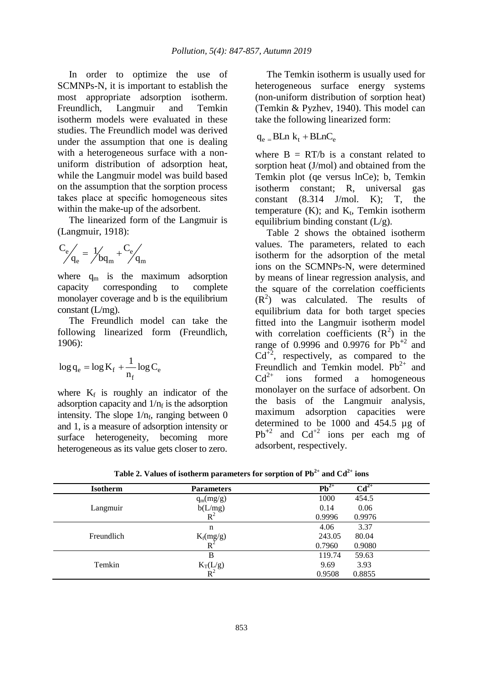In order to optimize the use of SCMNPs-N, it is important to establish the most appropriate adsorption isotherm. Freundlich, Langmuir and Temkin isotherm models were evaluated in these studies. The Freundlich model was derived under the assumption that one is dealing with a heterogeneous surface with a nonuniform distribution of adsorption heat, while the Langmuir model was build based on the assumption that the sorption process takes place at specific homogeneous sites within the make-up of the adsorbent.

The linearized form of the Langmuir is (Langmuir, 1918):

$$
\left. \begin{array}{l} C_e \end{array}\right|_e = \left. \begin{array}{l} 1 \end{array}\right|_{b q_m} + \left. \begin{array}{l} C_e \end{array}\right|_{q_m}
$$

where  $q_m$  is the maximum adsorption capacity corresponding to complete monolayer coverage and b is the equilibrium constant (L/mg).

The Freundlich model can take the following linearized form (Freundlich, 1906):

$$
\log q_e = \log K_f + \frac{1}{n_f} \log C_e
$$

where  $K_f$  is roughly an indicator of the adsorption capacity and  $1/n_f$  is the adsorption intensity. The slope  $1/n_f$ , ranging between 0 and 1, is a measure of adsorption intensity or surface heterogeneity, becoming more heterogeneous as its value gets closer to zero.

The Temkin isotherm is usually used for heterogeneous surface energy systems (non-uniform distribution of sorption heat) (Temkin & Pyzhev, 1940). This model can take the following linearized form:

$$
q_e \equiv BLn \ k_t + BLnC_e
$$

where  $B = RT/b$  is a constant related to sorption heat (J/mol) and obtained from the Temkin plot (qe versus lnCe); b, Temkin isotherm constant; R, universal gas constant  $(8.314 \text{ J/mol} \cdot \text{K})$ ; T, the temperature  $(K)$ ; and  $K_t$ , Temkin isotherm equilibrium binding constant  $(L/g)$ .

Table 2 shows the obtained isotherm values. The parameters, related to each isotherm for the adsorption of the metal ions on the SCMNPs-N, were determined by means of linear regression analysis, and the square of the correlation coefficients  $(R<sup>2</sup>)$  was calculated. The results of equilibrium data for both target species fitted into the Langmuir isotherm model with correlation coefficients  $(R^2)$  in the range of 0.9996 and 0.9976 for Pb**<sup>+</sup>**<sup>2</sup> and  $Cd^{\bar{+2}}$ , respectively, as compared to the Freundlich and Temkin model.  $Pb^{2+}$  and  $Cd^{2+}$  ions formed a homogeneous ions formed a homogeneous monolayer on the surface of adsorbent. On the basis of the Langmuir analysis, maximum adsorption capacities were determined to be 1000 and 454.5 µg of  $Pb^{+2}$  and  $Cd^{+2}$  ions per each mg of adsorbent, respectively.

| <b>Isotherm</b> | <b>Parameters</b>       | $Pb^{2+}$<br>$\overline{\text{Cd}^{2+}}$ |  |
|-----------------|-------------------------|------------------------------------------|--|
|                 | $q_m(mg/g)$             | 1000<br>454.5                            |  |
| Langmuir        | $b(L/mg)$<br>$R^2$      | 0.06<br>0.14                             |  |
|                 |                         | 0.9996<br>0.9976                         |  |
|                 | n                       | 3.37<br>4.06                             |  |
| Freundlich      | $\frac{K_f(mg/g)}{R^2}$ | 243.05<br>80.04                          |  |
|                 |                         | 0.7960<br>0.9080                         |  |
|                 | B                       | 119.74<br>59.63                          |  |
| Temkin          | $K_T(L/g)$<br>$R^2$     | 3.93<br>9.69                             |  |
|                 |                         | 0.9508<br>0.8855                         |  |

**Table 2. Values of isotherm parameters for sorption of**  $\text{Pb}^{2+}$  **and**  $\text{Cd}^{2+}$  **ions**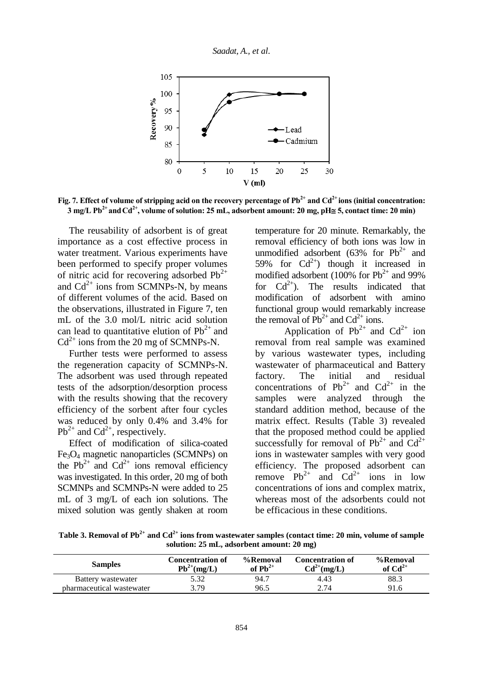

**Fig. 7. Effect of volume of stripping acid on the recovery percentage of Pb2+ and Cd2+ ions (initial concentration:**   $\overline{3}$  mg/L Pb<sup>2+</sup> and Cd<sup>2+</sup>, volume of solution: 25 mL, adsorbent amount: 20 mg, pH $\cong$  5, contact time: 20 min)

The reusability of adsorbent is of great importance as a cost effective process in water treatment. Various experiments have been performed to specify proper volumes of nitric acid for recovering adsorbed  $Pb^{2+}$ and  $Cd^{2+}$  ions from SCMNPs-N, by means of different volumes of the acid. Based on the observations, illustrated in Figure 7, ten mL of the 3.0 mol/L nitric acid solution can lead to quantitative elution of  $Pb^{2+}$  and  $Cd^{2+}$  ions from the 20 mg of SCMNPs-N.

Further tests were performed to assess the regeneration capacity of SCMNPs-N. The adsorbent was used through repeated tests of the adsorption/desorption process with the results showing that the recovery efficiency of the sorbent after four cycles was reduced by only 0.4% and 3.4% for  $Pb^{2+}$  and  $Cd^{2+}$ , respectively.

Effect of modification of silica-coated Fe3O<sup>4</sup> magnetic nanoparticles (SCMNPs) on the  $Pb^{2+}$  and  $Cd^{2+}$  ions removal efficiency was investigated. In this order, 20 mg of both SCMNPs and SCMNPs-N were added to 25 mL of 3 mg/L of each ion solutions. The mixed solution was gently shaken at room

temperature for 20 minute. Remarkably, the removal efficiency of both ions was low in unmodified adsorbent (63% for  $Pb^{2+}$  and 59% for  $Cd^{2+}$ ) though it increased in modified adsorbent (100% for  $Pb^{2+}$  and 99% for  $Cd^{2+}$ ). The results indicated that modification of adsorbent with amino functional group would remarkably increase the removal of  $Pb^{2+}$  and  $Cd^{2+}$  ions.

Application of  $Pb^{2+}$  and  $Cd^{2+}$  ion removal from real sample was examined by various wastewater types, including wastewater of pharmaceutical and Battery factory. The initial and residual concentrations of  $Pb^{2+}$  and  $Cd^{2+}$  in the samples were analyzed through the standard addition method, because of the matrix effect. Results (Table 3) revealed that the proposed method could be applied successfully for removal of  $Pb^{2+}$  and  $Cd^{2+}$ ions in wastewater samples with very good efficiency. The proposed adsorbent can remove  $Pb^{2+}$  and  $Cd^{2+}$  ions in low concentrations of ions and complex matrix, whereas most of the adsorbents could not be efficacious in these conditions.

**Table 3. Removal of Pb2+ and Cd2+ ions from wastewater samples (contact time: 20 min, volume of sample solution: 25 mL, adsorbent amount: 20 mg)**

| <b>Samples</b>            | <b>Concentration of</b><br>$Pb^{2+}(mg/L)$ | %Removal<br>of $\text{Pb}^{2+}$ | <b>Concentration of</b><br>$Cd^{2+}(mg/L)$ | %Removal<br>of $Cd^{2+}$ |
|---------------------------|--------------------------------------------|---------------------------------|--------------------------------------------|--------------------------|
| Battery wastewater        | 5.32                                       | 94.7                            | 4.43                                       | 88.3                     |
| pharmaceutical wastewater | 3.79                                       | 96.5                            | 2.74                                       | 91.6                     |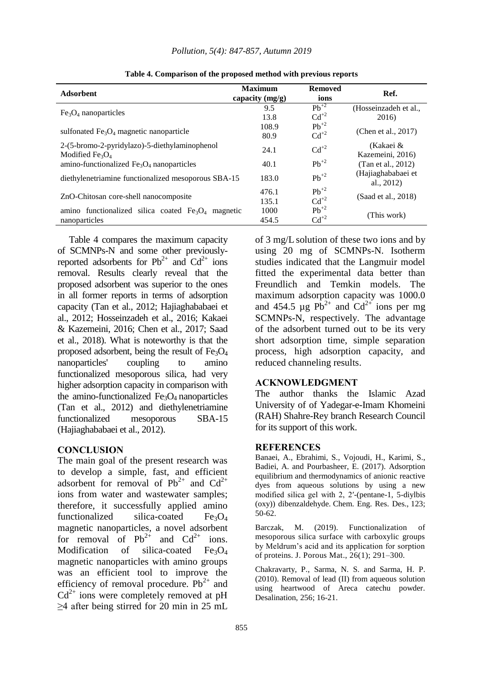| <b>Adsorbent</b>                                    | <b>Maximum</b><br>capacity $(mg/g)$ | <b>Removed</b><br>ions | Ref.                              |  |
|-----------------------------------------------------|-------------------------------------|------------------------|-----------------------------------|--|
|                                                     | 9.5                                 | $Pb^{+2}$              | (Hosseinzadeh et al.,             |  |
| $Fe3O4$ nanoparticles                               | 13.8                                | $Cd^{+2}$              | 2016)                             |  |
|                                                     | 108.9                               | $Pb^{+2}$              | (Chen et al., 2017)               |  |
| sulfonated $Fe3O4$ magnetic nanoparticle            | 80.9                                | $Cd^{+2}$              |                                   |  |
| 2-(5-bromo-2-pyridylazo)-5-diethylaminophenol       | 24.1                                | $Cd^{+2}$              | (Kakaei &                         |  |
| Modified $Fe3O4$                                    |                                     |                        | Kazemeini, 2016)                  |  |
| amino-functionalized $Fe3O4$ nanoparticles          | 40.1                                | $Pb^{+2}$              | (Tan et al., 2012)                |  |
| diethylenetriamine functionalized mesoporous SBA-15 | 183.0                               | $Pb^{+2}$              | (Hajiaghababaei et<br>al., $2012$ |  |
|                                                     | 476.1                               | $Pb^{+2}$              |                                   |  |
| ZnO-Chitosan core-shell nanocomposite               | 135.1                               | $Cd^{+2}$              | (Saad et al., 2018)               |  |
| amino functionalized silica coated $Fe3O4$ magnetic | 1000                                | $Pb^{+2}$              |                                   |  |
| nanoparticles                                       | 454.5                               | $Cd^{+2}$              | (This work)                       |  |

**Table 4. Comparison of the proposed method with previous reports**

Table 4 compares the maximum capacity of SCMNPs-N and some other previouslyreported adsorbents for  $Pb^{2+}$  and  $Cd^{2+}$  ions removal. Results clearly reveal that the proposed adsorbent was superior to the ones in all former reports in terms of adsorption capacity (Tan et al., 2012; Hajiaghababaei et al., 2012; Hosseinzadeh et al., 2016; Kakaei & Kazemeini, 2016; Chen et al., 2017; Saad et al., 2018). What is noteworthy is that the proposed adsorbent, being the result of  $Fe<sub>3</sub>O<sub>4</sub>$ nanoparticles' coupling to amino functionalized mesoporous silica, had very higher adsorption capacity in comparison with the amino-functionalized  $Fe<sub>3</sub>O<sub>4</sub>$  nanoparticles (Tan et al., 2012) and diethylenetriamine functionalized mesoporous SBA-15 (Hajiaghababaei et al., 2012).

### **CONCLUSION**

The main goal of the present research was to develop a simple, fast, and efficient adsorbent for removal of  $Pb^{2+}$  and  $Cd^{2+}$ ions from water and wastewater samples; therefore, it successfully applied amino functionalized silica-coated  $Fe<sub>3</sub>O<sub>4</sub>$ magnetic nanoparticles, a novel adsorbent for removal of  $Pb^{2+}$  and  $Cd^{2+}$  ions. Modification of silica-coated  $Fe<sub>3</sub>O<sub>4</sub>$ magnetic nanoparticles with amino groups was an efficient tool to improve the efficiency of removal procedure.  $Pb^{2+}$  and  $Cd^{2+}$  ions were completely removed at pH ≥4 after being stirred for 20 min in 25 mL

of 3 mg/L solution of these two ions and by using 20 mg of SCMNPs-N. Isotherm studies indicated that the Langmuir model fitted the experimental data better than Freundlich and Temkin models. The maximum adsorption capacity was 1000.0 and 454.5  $\mu$ g Pb<sup>2+</sup> and Cd<sup>2+</sup> ions per mg SCMNPs-N, respectively. The advantage of the adsorbent turned out to be its very short adsorption time, simple separation process, high adsorption capacity, and reduced channeling results.

#### **ACKNOWLEDGMENT**

The author thanks the Islamic Azad University of of Yadegar-e-Imam Khomeini (RAH) Shahre-Rey branch Research Council for its support of this work.

#### **REFERENCES**

Banaei, A., Ebrahimi, S., Vojoudi, H., Karimi, S., Badiei, A. and Pourbasheer, E. (2017). Adsorption equilibrium and thermodynamics of anionic reactive dyes from aqueous solutions by using a new modified silica gel with 2, 2′-(pentane-1, 5-diylbis (oxy)) dibenzaldehyde. Chem. Eng. Res. Des., 123; 50-62.

Barczak, M. (2019). Functionalization of mesoporous silica surface with carboxylic groups by Meldrum's acid and its application for sorption of proteins. J. Porous Mat., 26(1); 291–300.

Chakravarty, P., Sarma, N. S. and Sarma, H. P. (2010). Removal of lead (II) from aqueous solution using heartwood of Areca catechu powder. Desalination, 256; 16-21.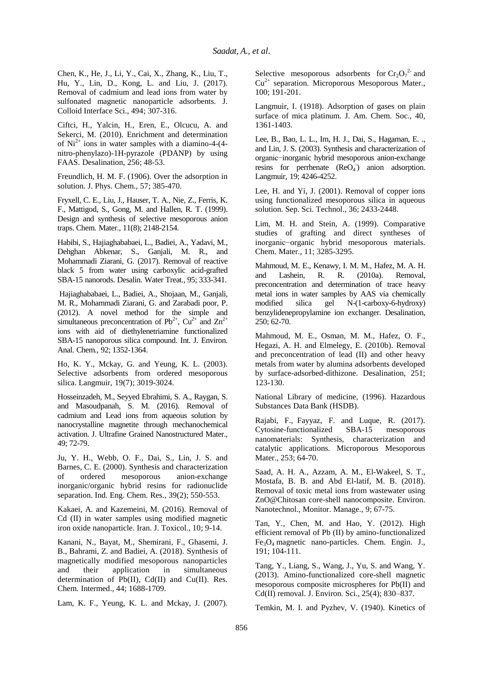Chen, K., He, J., Li, Y., Cai, X., Zhang, K., Liu, T., Hu, Y., Lin, D., Kong, L. and Liu, J. (2017). Removal of cadmium and lead ions from water by sulfonated magnetic nanoparticle adsorbents. J. Colloid Interface Sci., 494; 307-316.

Ciftci, H., Yalcin, H., Eren, E., Olcucu, A. and Sekerci, M. (2010). Enrichment and determination of  $Ni<sup>2+</sup>$  ions in water samples with a diamino-4-(4nitro-phenylazo)-1H-pyrazole (PDANP) by using FAAS. Desalination, 256; 48-53.

Freundlich, H. M. F. (1906). Over the adsorption in solution. J. Phys. Chem., 57; 385-470.

Fryxell, C. E., Liu, J., Hauser, T. A., Nie, Z., Ferris, K. F., Mattigod, S., Gong, M. and Hallen, R. T. (1999). Design and synthesis of selective mesoporous anion traps. Chem. Mater., 11(8); 2148-2154.

Habibi, S., Hajiaghababaei, L., Badiei, A., Yadavi, M., Dehghan Abkenar, S., Ganjali, M. R., and Mohammadi Ziarani, G. (2017). Removal of reactive black 5 from water using carboxylic acid-grafted SBA-15 nanorods. Desalin. Water Treat., 95; 333-341.

Hajiaghababaei, L., Badiei, A., Shojaan, M., Ganjali, M. R., Mohammadi Ziarani, G. and Zarabadi poor, P. (2012). A novel method for the simple and simultaneous preconcentration of  $Pb^{2+}$ ,  $Cu^{2+}$  and  $Zn^{2+}$ ions with aid of diethylenetriamine functionalized SBA-15 nanoporous silica compound. Int. J. Environ. Anal. Chem., 92; 1352-1364.

Ho, K. Y., Mckay, G. and Yeung, K. L. (2003). Selective adsorbents from ordered mesoporous silica. Langmuir, 19(7); 3019-3024.

Hosseinzadeh, M., Seyyed Ebrahimi, S. A., Raygan, S. and Masoudpanah, S. M. (2016). Removal of cadmium and Lead ions from aqueous solution by nanocrystalline magnetite through mechanochemical activation. J. Ultrafine Grained Nanostructured Mater., 49; 72-79.

Ju, Y. H., Webb, O. F., Dai, S., Lin, J. S. and Barnes, C. E. (2000). Synthesis and characterization of ordered mesoporous anion-exchange inorganic/organic hybrid resins for radionuclide separation. Ind. Eng. Chem. Res., 39(2); 550-553.

Kakaei, A. and Kazemeini, M. (2016). Removal of Cd (II) in water samples using modified magnetic iron oxide nanoparticle. Iran. J. Toxicol., 10; 9-14.

Kanani, N., Bayat, M., Shemirani, F., Ghasemi, J. B., Bahrami, Z. and Badiei, A. (2018). Synthesis of magnetically modified mesoporous nanoparticles and their application in simultaneous determination of Pb(II), Cd(II) and Cu(II). Res. Chem. Intermed., 44; 1688-1709.

Lam, K. F., Yeung, K. L. and Mckay, J. (2007).

Selective mesoporous adsorbents for  $Cr_2O_7^2$  and  $Cu<sup>2+</sup>$  separation. Microporous Mesoporous Mater., 100; 191-201.

Langmuir, I. (1918). Adsorption of gases on plain surface of mica platinum. J. Am. Chem. Soc., 40, 1361-1403.

Lee, B., Bao, L. L., Im, H. J., Dai, S., Hagaman, E. ., and Lin, J. S. (2003). Synthesis and characterization of organic−inorganic hybrid mesoporous anion-exchange resins for perrhenate  $(ReO<sub>4</sub>)$  anion adsorption. Langmuir, 19; 4246-4252.

Lee, H. and Yi, J. (2001). Removal of copper ions using functionalized mesoporous silica in aqueous solution. Sep. Sci. Technol., 36; 2433-2448.

Lim, M. H. and Stein, A. (1999). Comparative studies of grafting and direct syntheses of inorganic−organic hybrid mesoporous materials. Chem. Mater., 11; 3285-3295.

Mahmoud, M. E., Kenawy, I. M. M., Hafez, M. A. H. and Lashein, R. R. (2010a). Removal, preconcentration and determination of trace heavy metal ions in water samples by AAS via chemically modified silica gel N-(1-carboxy-6-hydroxy) benzylidenepropylamine ion exchanger. Desalination, 250; 62-70.

Mahmoud, M. E., Osman, M. M., Hafez, O. F., Hegazi, A. H. and Elmelegy, E. (2010b). Removal and preconcentration of lead (II) and other heavy metals from water by alumina adsorbents developed by surface-adsorbed-dithizone. Desalination, 251; 123-130.

National Library of medicine, (1996). Hazardous Substances Data Bank (HSDB).

Rajabi, F., Fayyaz, F. and Luque, R. (2017). Cytosine-functionalized SBA-15 mesoporous nanomaterials: Synthesis, characterization and catalytic applications. Microporous Mesoporous Mater., 253; 64-70.

Saad, A. H. A., Azzam, A. M., El-Wakeel, S. T., Mostafa, B. B. and Abd El-latif, M. B. (2018). Removal of toxic metal ions from wastewater using ZnO@Chitosan core-shell nanocomposite. Environ. Nanotechnol., Monitor. Manage., 9; 67-75.

Tan, Y., Chen, M. and Hao, Y. (2012). High efficient removal of Pb (II) by amino-functionalized Fe3O<sup>4</sup> magnetic nano-particles. Chem. Engin. J., 191; 104-111.

Tang, Y., Liang, S., Wang, J., Yu, S. and Wang, Y. (2013). Amino-functionalized core-shell magnetic mesoporous composite microspheres for Pb(II) and Cd(II) removal. J. Environ. Sci., 25(4); 830–837.

Temkin, M. I. and Pyzhev, V. (1940). Kinetics of